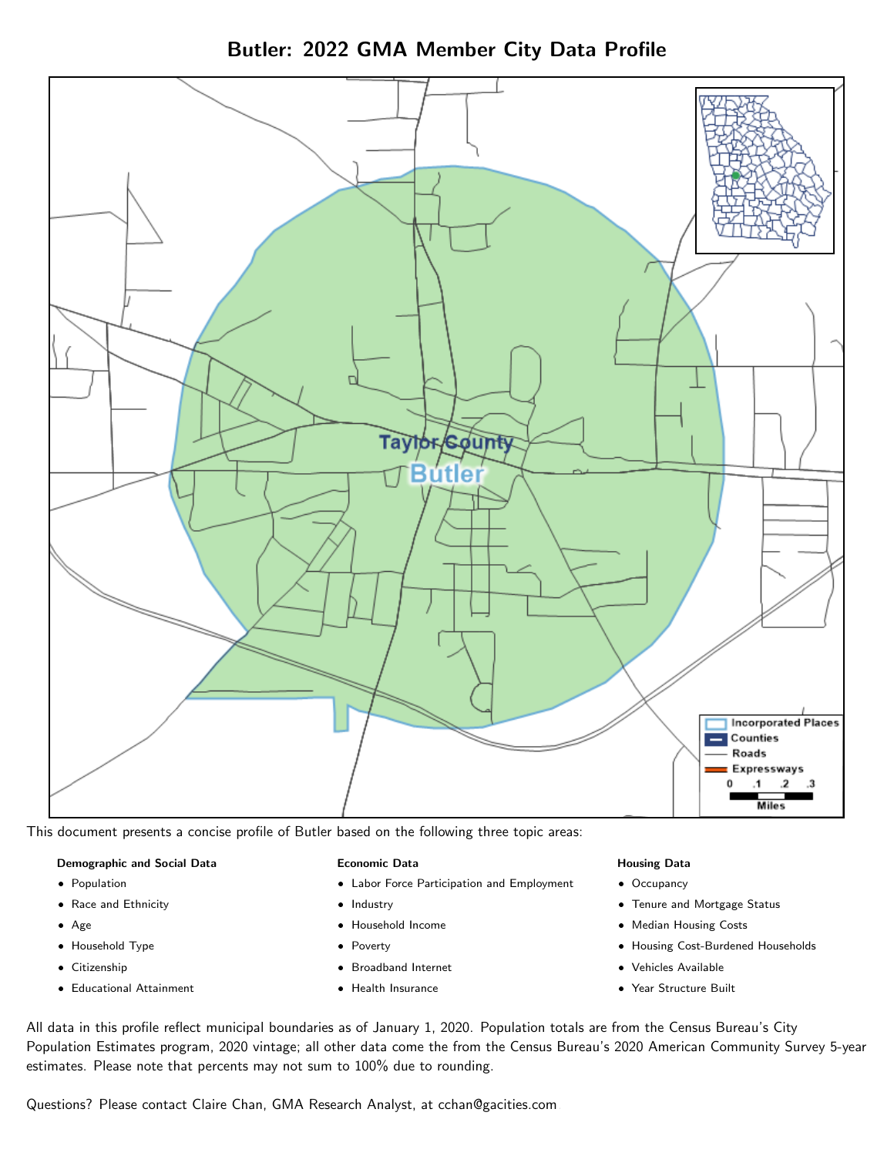Butler: 2022 GMA Member City Data Profile



This document presents a concise profile of Butler based on the following three topic areas:

#### Demographic and Social Data

- **•** Population
- Race and Ethnicity
- Age
- Household Type
- **Citizenship**
- Educational Attainment

#### Economic Data

- Labor Force Participation and Employment
- Industry
- Household Income
- Poverty
- Broadband Internet
- Health Insurance

#### Housing Data

- Occupancy
- Tenure and Mortgage Status
- Median Housing Costs
- Housing Cost-Burdened Households
- Vehicles Available
- Year Structure Built

All data in this profile reflect municipal boundaries as of January 1, 2020. Population totals are from the Census Bureau's City Population Estimates program, 2020 vintage; all other data come the from the Census Bureau's 2020 American Community Survey 5-year estimates. Please note that percents may not sum to 100% due to rounding.

Questions? Please contact Claire Chan, GMA Research Analyst, at [cchan@gacities.com.](mailto:cchan@gacities.com)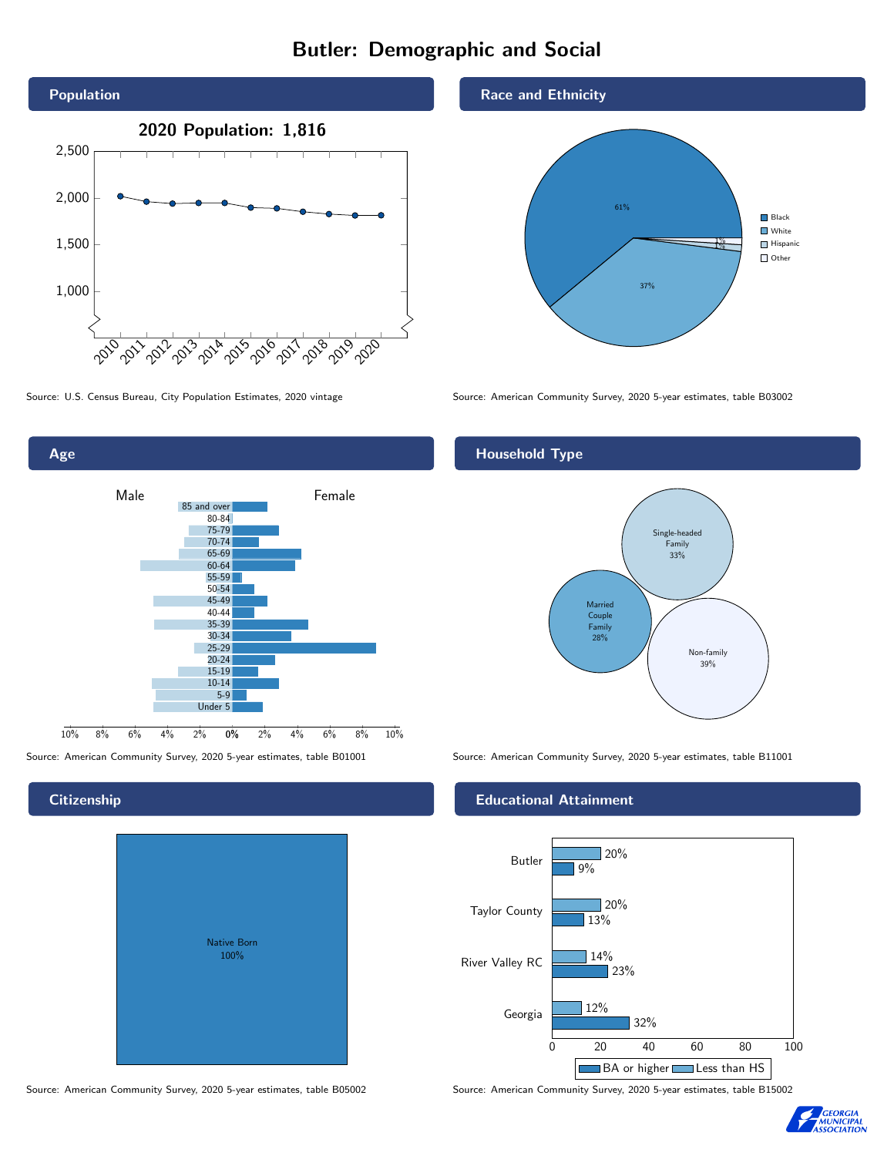# Butler: Demographic and Social



Age 0% 2% 4% 6% 8% 10% Male <u>Contract Communication</u> Female 10% 8% 6% 4% 2% 85 and over 80-84 75-79 70-74 65-69 60-64 55-59 50-54 45-49 40-44 35-39 30-34 25-29 20-24 15-19 10-14 5-9 Under 5

## **Citizenship**

|  | <b>Native Born</b><br>100% |  |  |
|--|----------------------------|--|--|
|  |                            |  |  |

Source: American Community Survey, 2020 5-year estimates, table B05002 Source: American Community Survey, 2020 5-year estimates, table B15002

### Race and Ethnicity



Source: U.S. Census Bureau, City Population Estimates, 2020 vintage Source: American Community Survey, 2020 5-year estimates, table B03002

# Household Type



Source: American Community Survey, 2020 5-year estimates, table B01001 Source: American Community Survey, 2020 5-year estimates, table B11001

#### Educational Attainment



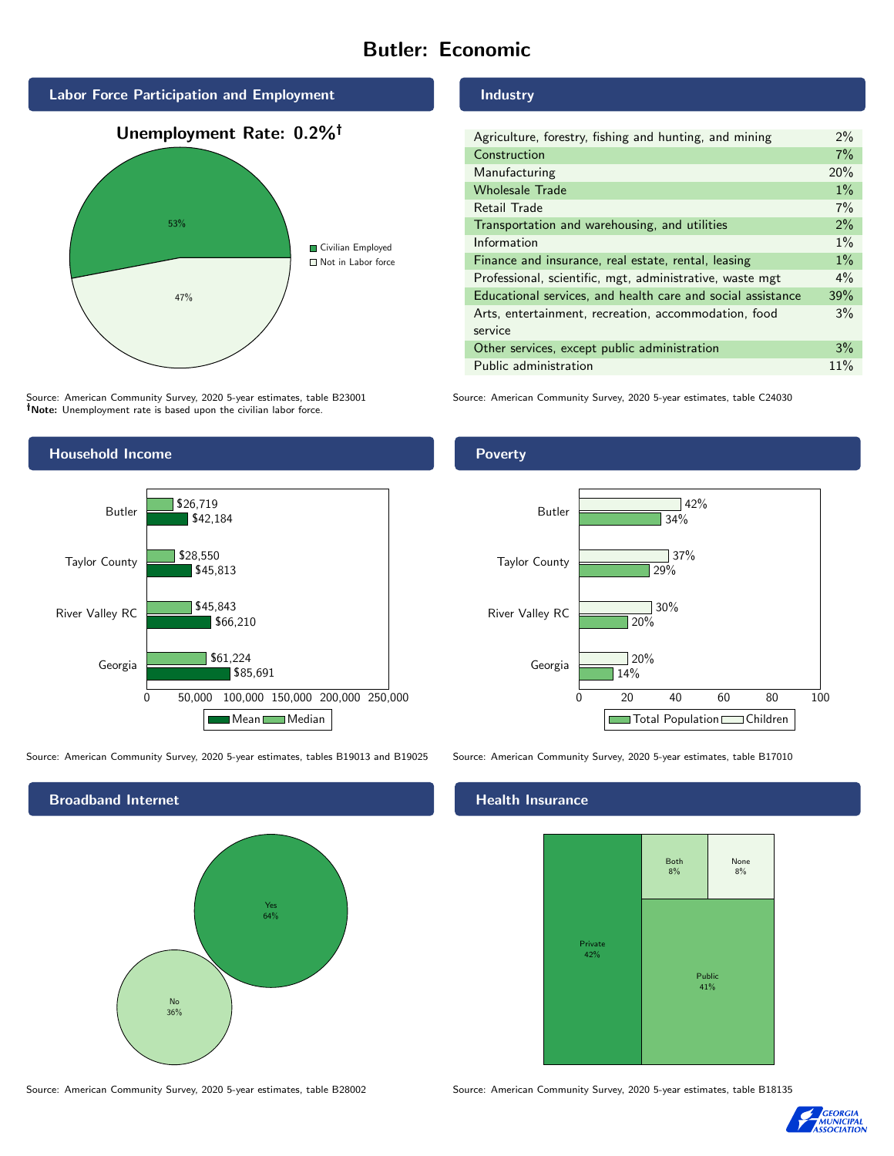# Butler: Economic



Source: American Community Survey, 2020 5-year estimates, table B23001 Note: Unemployment rate is based upon the civilian labor force.



Source: American Community Survey, 2020 5-year estimates, tables B19013 and B19025 Source: American Community Survey, 2020 5-year estimates, table B17010



Industry

| Agriculture, forestry, fishing and hunting, and mining      |       |  |  |
|-------------------------------------------------------------|-------|--|--|
| Construction                                                |       |  |  |
| Manufacturing                                               | 20%   |  |  |
| <b>Wholesale Trade</b>                                      | $1\%$ |  |  |
| Retail Trade                                                | 7%    |  |  |
| Transportation and warehousing, and utilities               |       |  |  |
| Information                                                 |       |  |  |
| Finance and insurance, real estate, rental, leasing         |       |  |  |
| Professional, scientific, mgt, administrative, waste mgt    |       |  |  |
| Educational services, and health care and social assistance |       |  |  |
| Arts, entertainment, recreation, accommodation, food        |       |  |  |
| service                                                     |       |  |  |
| Other services, except public administration                |       |  |  |
| Public administration                                       |       |  |  |

Source: American Community Survey, 2020 5-year estimates, table C24030

Poverty



# **Health Insurance**



Source: American Community Survey, 2020 5-year estimates, table B28002 Source: American Community Survey, 2020 5-year estimates, table B18135